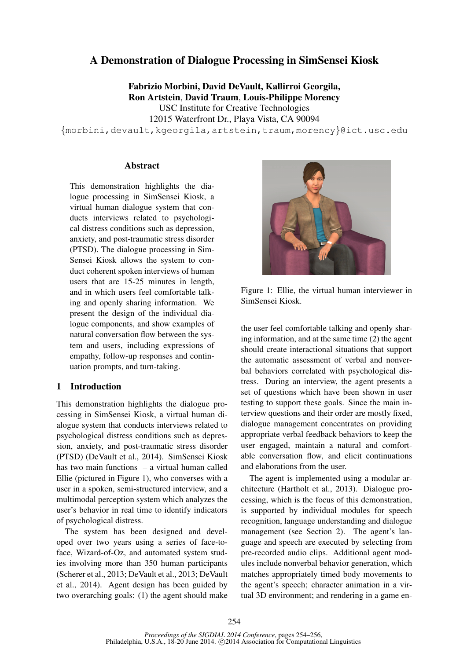# A Demonstration of Dialogue Processing in SimSensei Kiosk

Fabrizio Morbini, David DeVault, Kallirroi Georgila, Ron Artstein, David Traum, Louis-Philippe Morency USC Institute for Creative Technologies 12015 Waterfront Dr., Playa Vista, CA 90094

{morbini,devault,kgeorgila,artstein,traum,morency}@ict.usc.edu

#### **Abstract**

This demonstration highlights the dialogue processing in SimSensei Kiosk, a virtual human dialogue system that conducts interviews related to psychological distress conditions such as depression, anxiety, and post-traumatic stress disorder (PTSD). The dialogue processing in Sim-Sensei Kiosk allows the system to conduct coherent spoken interviews of human users that are 15-25 minutes in length, and in which users feel comfortable talking and openly sharing information. We present the design of the individual dialogue components, and show examples of natural conversation flow between the system and users, including expressions of empathy, follow-up responses and continuation prompts, and turn-taking.

#### 1 Introduction

This demonstration highlights the dialogue processing in SimSensei Kiosk, a virtual human dialogue system that conducts interviews related to psychological distress conditions such as depression, anxiety, and post-traumatic stress disorder (PTSD) (DeVault et al., 2014). SimSensei Kiosk has two main functions – a virtual human called Ellie (pictured in Figure 1), who converses with a user in a spoken, semi-structured interview, and a multimodal perception system which analyzes the user's behavior in real time to identify indicators of psychological distress.

The system has been designed and developed over two years using a series of face-toface, Wizard-of-Oz, and automated system studies involving more than 350 human participants (Scherer et al., 2013; DeVault et al., 2013; DeVault et al., 2014). Agent design has been guided by two overarching goals: (1) the agent should make



Figure 1: Ellie, the virtual human interviewer in SimSensei Kiosk.

the user feel comfortable talking and openly sharing information, and at the same time (2) the agent should create interactional situations that support the automatic assessment of verbal and nonverbal behaviors correlated with psychological distress. During an interview, the agent presents a set of questions which have been shown in user testing to support these goals. Since the main interview questions and their order are mostly fixed, dialogue management concentrates on providing appropriate verbal feedback behaviors to keep the user engaged, maintain a natural and comfortable conversation flow, and elicit continuations and elaborations from the user.

The agent is implemented using a modular architecture (Hartholt et al., 2013). Dialogue processing, which is the focus of this demonstration, is supported by individual modules for speech recognition, language understanding and dialogue management (see Section 2). The agent's language and speech are executed by selecting from pre-recorded audio clips. Additional agent modules include nonverbal behavior generation, which matches appropriately timed body movements to the agent's speech; character animation in a virtual 3D environment; and rendering in a game en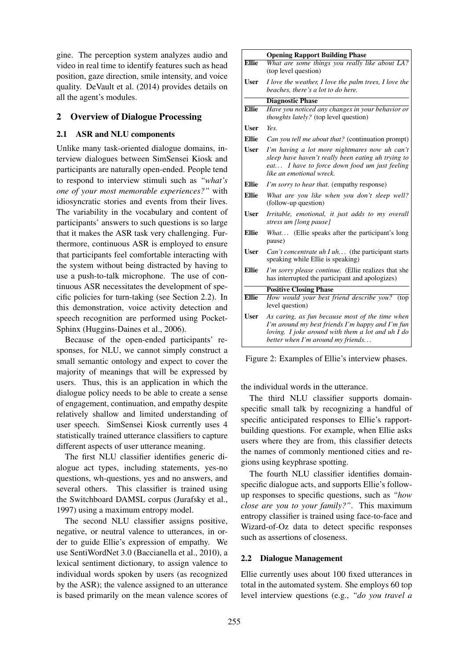gine. The perception system analyzes audio and video in real time to identify features such as head position, gaze direction, smile intensity, and voice quality. DeVault et al. (2014) provides details on all the agent's modules.

## 2 Overview of Dialogue Processing

#### 2.1 ASR and NLU components

Unlike many task-oriented dialogue domains, interview dialogues between SimSensei Kiosk and participants are naturally open-ended. People tend to respond to interview stimuli such as *"what's one of your most memorable experiences?"* with idiosyncratic stories and events from their lives. The variability in the vocabulary and content of participants' answers to such questions is so large that it makes the ASR task very challenging. Furthermore, continuous ASR is employed to ensure that participants feel comfortable interacting with the system without being distracted by having to use a push-to-talk microphone. The use of continuous ASR necessitates the development of specific policies for turn-taking (see Section 2.2). In this demonstration, voice activity detection and speech recognition are performed using Pocket-Sphinx (Huggins-Daines et al., 2006).

Because of the open-ended participants' responses, for NLU, we cannot simply construct a small semantic ontology and expect to cover the majority of meanings that will be expressed by users. Thus, this is an application in which the dialogue policy needs to be able to create a sense of engagement, continuation, and empathy despite relatively shallow and limited understanding of user speech. SimSensei Kiosk currently uses 4 statistically trained utterance classifiers to capture different aspects of user utterance meaning.

The first NLU classifier identifies generic dialogue act types, including statements, yes-no questions, wh-questions, yes and no answers, and several others. This classifier is trained using the Switchboard DAMSL corpus (Jurafsky et al., 1997) using a maximum entropy model.

The second NLU classifier assigns positive, negative, or neutral valence to utterances, in order to guide Ellie's expression of empathy. We use SentiWordNet 3.0 (Baccianella et al., 2010), a lexical sentiment dictionary, to assign valence to individual words spoken by users (as recognized by the ASR); the valence assigned to an utterance is based primarily on the mean valence scores of

|              | <b>Opening Rapport Building Phase</b>                                                                                                                                                            |
|--------------|--------------------------------------------------------------------------------------------------------------------------------------------------------------------------------------------------|
| <b>Ellie</b> | What are some things you really like about LA?<br>(top level question)                                                                                                                           |
| <b>User</b>  | I love the weather, I love the palm trees, I love the<br>beaches, there's a lot to do here.                                                                                                      |
|              | <b>Diagnostic Phase</b>                                                                                                                                                                          |
| <b>Ellie</b> | Have you noticed any changes in your behavior or<br><i>thoughts lately?</i> (top level question)                                                                                                 |
| User         | Yes.                                                                                                                                                                                             |
| <b>Ellie</b> | Can you tell me about that? (continuation prompt)                                                                                                                                                |
| <b>User</b>  | I'm having a lot more nightmares now uh can't<br>sleep have haven't really been eating uh trying to<br>eat I have to force down food um just feeling<br>like an emotional wreck.                 |
| Ellie        | I'm sorry to hear that. (empathy response)                                                                                                                                                       |
| Ellie        | What are you like when you don't sleep well?<br>(follow-up question)                                                                                                                             |
| <b>User</b>  | Irritable, emotional, it just adds to my overall<br>stress um [long pause]                                                                                                                       |
| <b>Ellie</b> | <i>What</i> (Ellie speaks after the participant's long<br>pause)                                                                                                                                 |
| <b>User</b>  | Can't concentrate uh I uh (the participant starts<br>speaking while Ellie is speaking)                                                                                                           |
| Ellie        | I'm sorry please continue. (Ellie realizes that she<br>has interrupted the participant and apologizes)                                                                                           |
|              | <b>Positive Closing Phase</b>                                                                                                                                                                    |
| <b>Ellie</b> | How would your best friend describe you? (top<br>level question)                                                                                                                                 |
| <b>User</b>  | As caring, as fun because most of the time when<br>I'm around my best friends I'm happy and I'm fun<br>loving. I joke around with them a lot and $u$ h I do<br>better when I'm around my friends |

Figure 2: Examples of Ellie's interview phases.

the individual words in the utterance.

The third NLU classifier supports domainspecific small talk by recognizing a handful of specific anticipated responses to Ellie's rapportbuilding questions. For example, when Ellie asks users where they are from, this classifier detects the names of commonly mentioned cities and regions using keyphrase spotting.

The fourth NLU classifier identifies domainspecific dialogue acts, and supports Ellie's followup responses to specific questions, such as *"how close are you to your family?"*. This maximum entropy classifier is trained using face-to-face and Wizard-of-Oz data to detect specific responses such as assertions of closeness.

#### 2.2 Dialogue Management

Ellie currently uses about 100 fixed utterances in total in the automated system. She employs 60 top level interview questions (e.g., *"do you travel a*